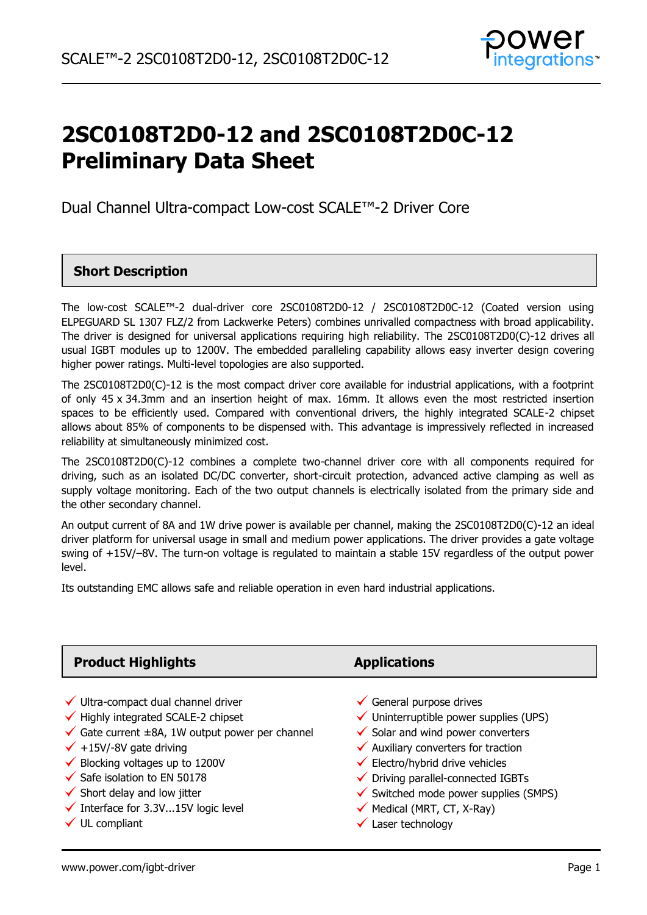

# **2SC0108T2D0-12 and 2SC0108T2D0C-12 Preliminary Data Sheet**

Dual Channel Ultra-compact Low-cost SCALE™-2 Driver Core

### **Short Description**

The low-cost SCALE™-2 dual-driver core 2SC0108T2D0-12 / 2SC0108T2D0C-12 (Coated version using ELPEGUARD SL 1307 FLZ/2 from Lackwerke Peters) combines unrivalled compactness with broad applicability. The driver is designed for universal applications requiring high reliability. The 2SC0108T2D0(C)-12 drives all usual IGBT modules up to 1200V. The embedded paralleling capability allows easy inverter design covering higher power ratings. Multi-level topologies are also supported.

The 2SC0108T2D0(C)-12 is the most compact driver core available for industrial applications, with a footprint of only 45 x 34.3mm and an insertion height of max. 16mm. It allows even the most restricted insertion spaces to be efficiently used. Compared with conventional drivers, the highly integrated SCALE-2 chipset allows about 85% of components to be dispensed with. This advantage is impressively reflected in increased reliability at simultaneously minimized cost.

The 2SC0108T2D0(C)-12 combines a complete two-channel driver core with all components required for driving, such as an isolated DC/DC converter, short-circuit protection, advanced active clamping as well as supply voltage monitoring. Each of the two output channels is electrically isolated from the primary side and the other secondary channel.

An output current of 8A and 1W drive power is available per channel, making the 2SC0108T2D0(C)-12 an ideal driver platform for universal usage in small and medium power applications. The driver provides a gate voltage swing of +15V/–8V. The turn-on voltage is regulated to maintain a stable 15V regardless of the output power level.

Its outstanding EMC allows safe and reliable operation in even hard industrial applications.

| <b>Product Highlights</b>                                                                                                                                                                                                                                                                                                                | <b>Applications</b>                                                                                                                                                                                                                                                                                                                           |
|------------------------------------------------------------------------------------------------------------------------------------------------------------------------------------------------------------------------------------------------------------------------------------------------------------------------------------------|-----------------------------------------------------------------------------------------------------------------------------------------------------------------------------------------------------------------------------------------------------------------------------------------------------------------------------------------------|
| $\checkmark$ Ultra-compact dual channel driver<br>$\checkmark$ Highly integrated SCALE-2 chipset<br>$\checkmark$ Gate current ±8A, 1W output power per channel<br>$\checkmark$ +15V/-8V gate driving<br>$\checkmark$ Blocking voltages up to 1200V<br>$\checkmark$ Safe isolation to EN 50178<br>$\checkmark$ Short delay and low jitter | $\checkmark$ General purpose drives<br>$\checkmark$ Uninterruptible power supplies (UPS)<br>$\checkmark$ Solar and wind power converters<br>$\checkmark$ Auxiliary converters for traction<br>$\checkmark$ Electro/hybrid drive vehicles<br>$\checkmark$ Driving parallel-connected IGBTs<br>$\checkmark$ Switched mode power supplies (SMPS) |
| $\checkmark$ Interface for 3.3V15V logic level                                                                                                                                                                                                                                                                                           | $\checkmark$ Medical (MRT, CT, X-Ray)                                                                                                                                                                                                                                                                                                         |
| $\checkmark$ UL compliant                                                                                                                                                                                                                                                                                                                | Laser technology                                                                                                                                                                                                                                                                                                                              |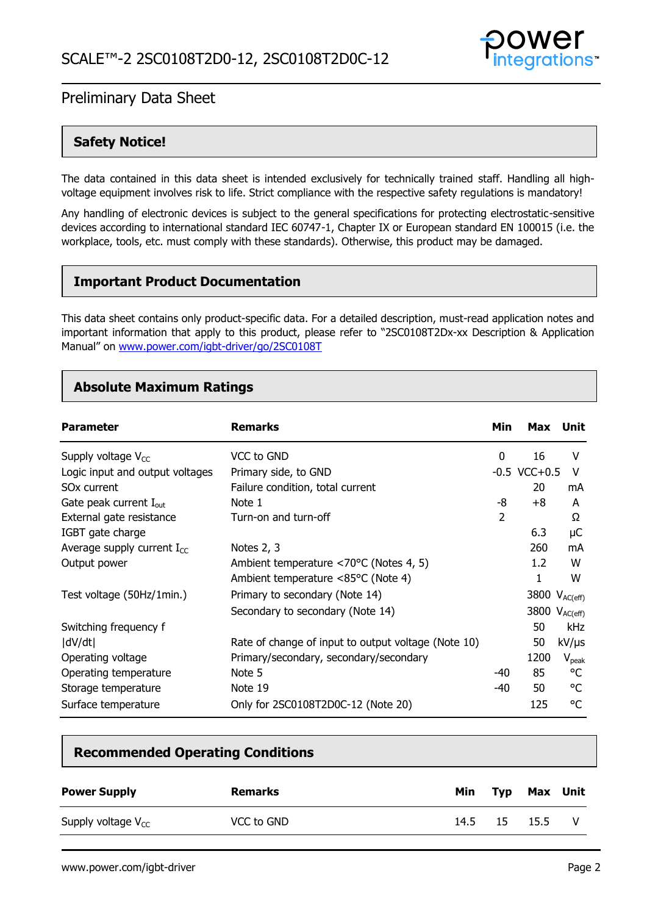

### **Safety Notice!**

The data contained in this data sheet is intended exclusively for technically trained staff. Handling all highvoltage equipment involves risk to life. Strict compliance with the respective safety regulations is mandatory!

Any handling of electronic devices is subject to the general specifications for protecting electrostatic-sensitive devices according to international standard IEC 60747-1, Chapter IX or European standard EN 100015 (i.e. the workplace, tools, etc. must comply with these standards). Otherwise, this product may be damaged.

### **Important Product Documentation**

This data sheet contains only product-specific data. For a detailed description, must-read application notes and important information that apply to this product, please refer to "2SC0108T2Dx-xx Description & Application Manual" on [www.power.com/igbt-driver/go/2SC0108T](http://www.power.com/igbt-driver/go/2SC0108T)

### **Absolute Maximum Ratings**

| <b>Parameter</b>                   | <b>Remarks</b>                                          | Min            | Max               | Unit                      |
|------------------------------------|---------------------------------------------------------|----------------|-------------------|---------------------------|
| Supply voltage $V_{CC}$            | VCC to GND                                              | 0              | 16                | v                         |
| Logic input and output voltages    | Primary side, to GND                                    |                | $-0.5$ VCC $+0.5$ | v                         |
| SO <sub>x</sub> current            | Failure condition, total current                        |                | 20                | mA                        |
| Gate peak current $I_{\text{out}}$ | Note 1                                                  | -8             | $+8$              | A                         |
| External gate resistance           | Turn-on and turn-off                                    | $\overline{2}$ |                   | Ω                         |
| IGBT gate charge                   |                                                         |                | 6.3               | μC                        |
| Average supply current $I_{CC}$    | Notes 2, 3                                              |                | 260               | mA                        |
| Output power                       | Ambient temperature $\langle 70^{\circ}$ C (Notes 4, 5) |                | 1.2               | W                         |
|                                    | Ambient temperature <85°C (Note 4)                      |                | 1                 | W                         |
| Test voltage (50Hz/1min.)          | Primary to secondary (Note 14)                          |                |                   | 3800 V <sub>AC(eff)</sub> |
|                                    | Secondary to secondary (Note 14)                        |                |                   | 3800 V <sub>AC(eff)</sub> |
| Switching frequency f              |                                                         |                | 50                | <b>kHz</b>                |
| dV/dt                              | Rate of change of input to output voltage (Note 10)     |                | 50                | $kV/\mu s$                |
| Operating voltage                  | Primary/secondary, secondary/secondary                  |                | 1200              | $V_{\rm peak}$            |
| Operating temperature              | Note 5                                                  | -40            | 85                | °C                        |
| Storage temperature                | Note 19                                                 | -40            | 50                | °C                        |
| Surface temperature                | Only for 2SC0108T2D0C-12 (Note 20)                      |                | 125               | °C                        |

### **Recommended Operating Conditions**

| <b>Power Supply</b>     | Remarks    | Min  |      | Typ Max Unit |  |
|-------------------------|------------|------|------|--------------|--|
| Supply voltage $V_{CC}$ | VCC to GND | 14.5 | - 15 | 15.5         |  |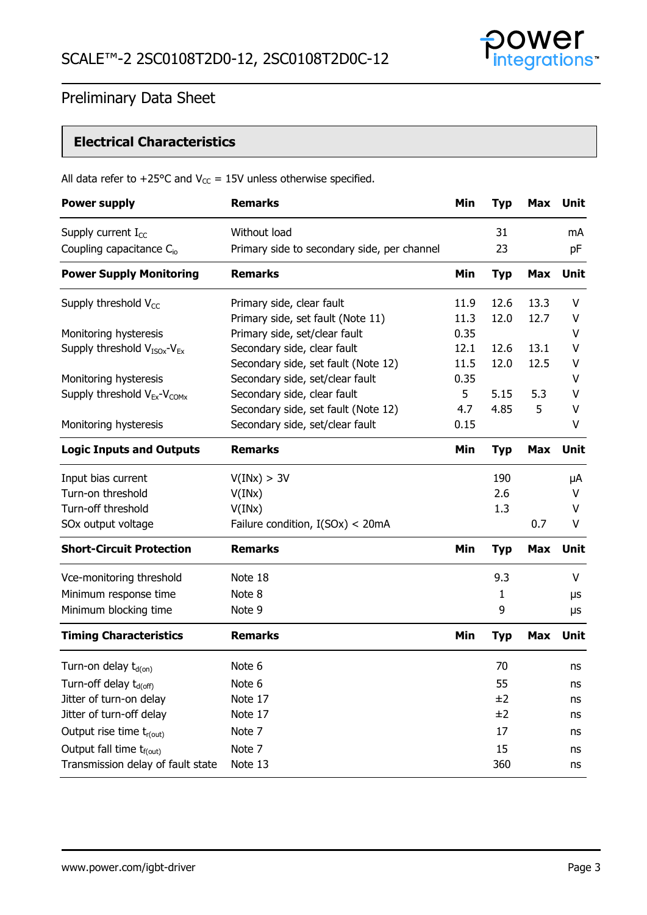

### **Electrical Characteristics**

| <b>Power supply</b>                    | <b>Remarks</b>                              | Min  | <b>Typ</b> | <b>Max</b> | <b>Unit</b> |
|----------------------------------------|---------------------------------------------|------|------------|------------|-------------|
| Supply current I <sub>cc</sub>         | Without load                                |      | 31         |            | mA          |
| Coupling capacitance C <sub>io</sub>   | Primary side to secondary side, per channel |      | 23         |            | pF          |
| <b>Power Supply Monitoring</b>         | <b>Remarks</b>                              | Min  | <b>Typ</b> | <b>Max</b> | Unit        |
| Supply threshold $V_{CC}$              | Primary side, clear fault                   | 11.9 | 12.6       | 13.3       | v           |
|                                        | Primary side, set fault (Note 11)           | 11.3 | 12.0       | 12.7       | ۷           |
| Monitoring hysteresis                  | Primary side, set/clear fault               | 0.35 |            |            | V           |
| Supply threshold $V_{ISOx}$ - $V_{Ex}$ | Secondary side, clear fault                 | 12.1 | 12.6       | 13.1       | V           |
|                                        | Secondary side, set fault (Note 12)         | 11.5 | 12.0       | 12.5       | V           |
| Monitoring hysteresis                  | Secondary side, set/clear fault             | 0.35 |            |            | V           |
| Supply threshold $V_{Ex}$ - $V_{COMX}$ | Secondary side, clear fault                 | 5    | 5.15       | 5.3        | V           |
|                                        | Secondary side, set fault (Note 12)         | 4.7  | 4.85       | 5          | V           |
| Monitoring hysteresis                  | Secondary side, set/clear fault             | 0.15 |            |            | V           |
| <b>Logic Inputs and Outputs</b>        | <b>Remarks</b>                              | Min  | <b>Typ</b> | <b>Max</b> | Unit        |
| Input bias current                     | V(INx) > 3V                                 |      | 190        |            | μA          |
| Turn-on threshold                      | V(INx)                                      |      | 2.6        |            | v           |
| Turn-off threshold                     | V(INx)                                      |      | 1.3        |            | v           |
| SOx output voltage                     | Failure condition, $I(SOx) < 20mA$          |      |            | 0.7        | V           |
| <b>Short-Circuit Protection</b>        | <b>Remarks</b>                              | Min  | <b>Typ</b> | <b>Max</b> | Unit        |
| Vce-monitoring threshold               | Note 18                                     |      | 9.3        |            | V           |
| Minimum response time                  | Note 8                                      |      | 1          |            | μs          |
| Minimum blocking time                  | Note 9                                      |      | 9          |            | μs          |
| <b>Timing Characteristics</b>          | <b>Remarks</b>                              | Min  | <b>Typ</b> | <b>Max</b> | Unit        |
| Turn-on delay $t_{d(0n)}$              | Note 6                                      |      | 70         |            | ns          |
| Turn-off delay t <sub>d(off)</sub>     | Note 6                                      |      | 55         |            | ns          |
| Jitter of turn-on delay                | Note 17                                     |      | ±2         |            | ns          |
| Jitter of turn-off delay               | Note 17                                     |      | ±2         |            | ns          |
| Output rise time $t_{r(\text{out})}$   | Note 7                                      |      | 17         |            | ns          |
| Output fall time t <sub>f(out)</sub>   | Note 7                                      |      | 15         |            | ns          |
| Transmission delay of fault state      | Note 13                                     |      | 360        |            | ns          |
|                                        |                                             |      |            |            |             |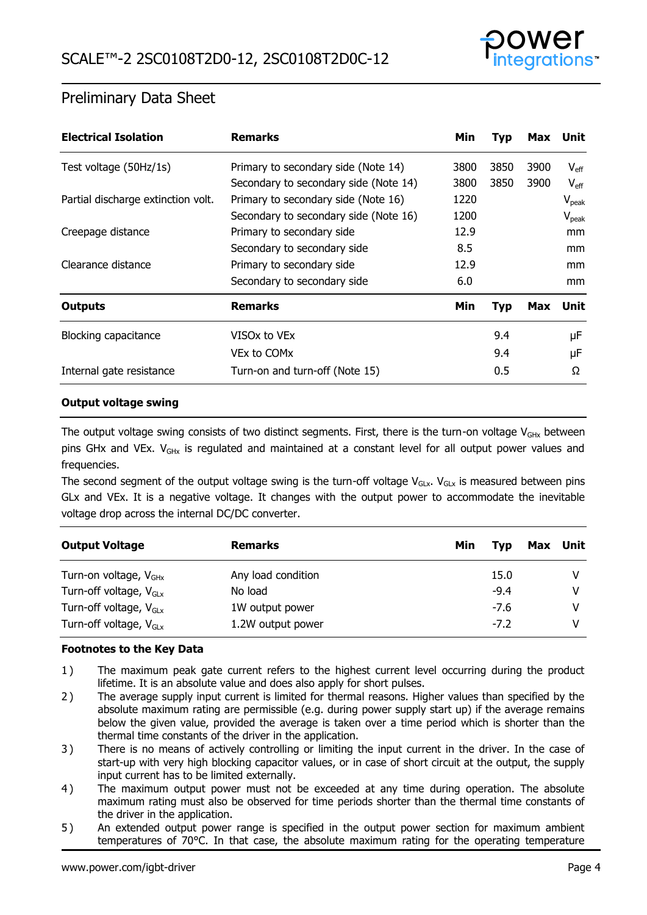

| <b>Electrical Isolation</b>        | <b>Remarks</b>                        | Min. | Typ        | Max        | Unit           |
|------------------------------------|---------------------------------------|------|------------|------------|----------------|
| Test voltage (50Hz/1s)             | Primary to secondary side (Note 14)   | 3800 | 3850       | 3900       | $V_{\rm eff}$  |
|                                    | Secondary to secondary side (Note 14) | 3800 | 3850       | 3900       | $V_{\rm eff}$  |
| Partial discharge extinction volt. | Primary to secondary side (Note 16)   | 1220 |            |            | $V_{\rm peak}$ |
|                                    | Secondary to secondary side (Note 16) | 1200 |            |            | $V_{peak}$     |
| Creepage distance                  | Primary to secondary side             | 12.9 |            |            | mm             |
|                                    | Secondary to secondary side           | 8.5  |            |            | <sub>mm</sub>  |
| Clearance distance                 | Primary to secondary side             | 12.9 |            |            | <sub>mm</sub>  |
|                                    | Secondary to secondary side           | 6.0  |            |            | <sub>mm</sub>  |
| <b>Outputs</b>                     | <b>Remarks</b>                        | Min. | <b>Typ</b> | <b>Max</b> | Unit           |
| <b>Blocking capacitance</b>        | VISOx to VEx                          |      | 9.4        |            | μF             |
|                                    | VEx to COM <sub>x</sub>               |      | 9.4        |            | μF             |
| Internal gate resistance           | Turn-on and turn-off (Note 15)        |      | 0.5        |            | Ω              |

#### **Output voltage swing**

The output voltage swing consists of two distinct segments. First, there is the turn-on voltage  $V_{\text{GHx}}$  between pins GHx and VEx.  $V_{\text{GHz}}$  is regulated and maintained at a constant level for all output power values and frequencies.

The second segment of the output voltage swing is the turn-off voltage  $V_{GLx}$ .  $V_{GLx}$  is measured between pins GLx and VEx. It is a negative voltage. It changes with the output power to accommodate the inevitable voltage drop across the internal DC/DC converter.

| <b>Output Voltage</b>              | <b>Remarks</b>     | Min | Tvp    | Max Unit |
|------------------------------------|--------------------|-----|--------|----------|
| Turn-on voltage, V <sub>GHx</sub>  | Any load condition |     | 15.0   |          |
| Turn-off voltage, $V_{\text{GEx}}$ | No load            |     | $-9.4$ |          |
| Turn-off voltage, $V_{\text{Glx}}$ | 1W output power    |     | $-7.6$ |          |
| Turn-off voltage, $V_{\text{Glx}}$ | 1.2W output power  |     | $-7.2$ |          |

#### **Footnotes to the Key Data**

- <span id="page-3-0"></span>1 ) The maximum peak gate current refers to the highest current level occurring during the product lifetime. It is an absolute value and does also apply for short pulses.
- <span id="page-3-1"></span>2 ) The average supply input current is limited for thermal reasons. Higher values than specified by the absolute maximum rating are permissible (e.g. during power supply start up) if the average remains below the given value, provided the average is taken over a time period which is shorter than the thermal time constants of the driver in the application.
- <span id="page-3-2"></span>3) There is no means of actively controlling or limiting the input current in the driver. In the case of start-up with very high blocking capacitor values, or in case of short circuit at the output, the supply input current has to be limited externally.
- <span id="page-3-3"></span>4 ) The maximum output power must not be exceeded at any time during operation. The absolute maximum rating must also be observed for time periods shorter than the thermal time constants of the driver in the application.
- <span id="page-3-4"></span>5 ) An extended output power range is specified in the output power section for maximum ambient temperatures of 70°C. In that case, the absolute maximum rating for the operating temperature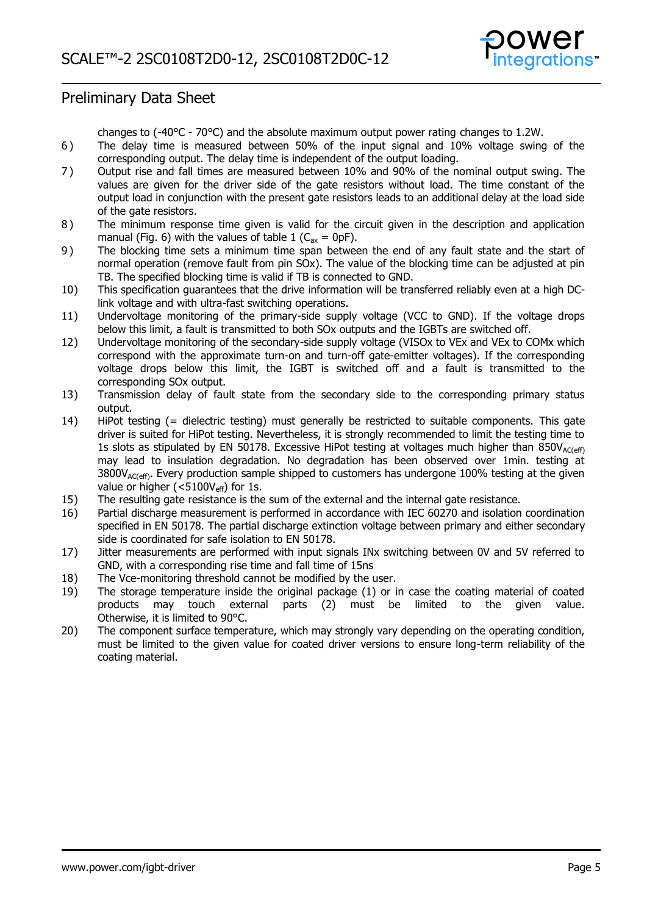

changes to (-40°C - 70°C) and the absolute maximum output power rating changes to 1.2W.

- <span id="page-4-9"></span>6 ) The delay time is measured between 50% of the input signal and 10% voltage swing of the corresponding output. The delay time is independent of the output loading.
- <span id="page-4-11"></span>7 ) Output rise and fall times are measured between 10% and 90% of the nominal output swing. The values are given for the driver side of the gate resistors without load. The time constant of the output load in conjunction with the present gate resistors leads to an additional delay at the load side of the gate resistors.
- <span id="page-4-7"></span>8 ) The minimum response time given is valid for the circuit given in the description and application manual (Fig. 6) with the values of table 1 ( $C_{ax} = 0pF$ ).
- <span id="page-4-8"></span>9 ) The blocking time sets a minimum time span between the end of any fault state and the start of normal operation (remove fault from pin SOx). The value of the blocking time can be adjusted at pin TB. The specified blocking time is valid if TB is connected to GND.
- <span id="page-4-1"></span>10) This specification guarantees that the drive information will be transferred reliably even at a high DClink voltage and with ultra-fast switching operations.
- <span id="page-4-4"></span>11) Undervoltage monitoring of the primary-side supply voltage (VCC to GND). If the voltage drops below this limit, a fault is transmitted to both SOx outputs and the IGBTs are switched off.
- <span id="page-4-5"></span>12) Undervoltage monitoring of the secondary-side supply voltage (VISOx to VEx and VEx to COMx which correspond with the approximate turn-on and turn-off gate-emitter voltages). If the corresponding voltage drops below this limit, the IGBT is switched off and a fault is transmitted to the corresponding SOx output.
- <span id="page-4-12"></span>13) Transmission delay of fault state from the secondary side to the corresponding primary status output.
- <span id="page-4-0"></span>14) HiPot testing (= dielectric testing) must generally be restricted to suitable components. This gate driver is suited for HiPot testing. Nevertheless, it is strongly recommended to limit the testing time to 1s slots as stipulated by EN 50178. Excessive HiPot testing at voltages much higher than  $850V_{AC(eff)}$ may lead to insulation degradation. No degradation has been observed over 1min. testing at  $3800V_{AC(eff)}$ . Every production sample shipped to customers has undergone 100% testing at the given value or higher ( $<$ 5100V<sub>eff</sub>) for 1s.
- <span id="page-4-14"></span>15) The resulting gate resistance is the sum of the external and the internal gate resistance.
- <span id="page-4-13"></span>16) Partial discharge measurement is performed in accordance with IEC 60270 and isolation coordination specified in EN 50178. The partial discharge extinction voltage between primary and either secondary side is coordinated for safe isolation to EN 50178.
- <span id="page-4-10"></span>17) Jitter measurements are performed with input signals INx switching between 0V and 5V referred to GND, with a corresponding rise time and fall time of 15ns
- <span id="page-4-6"></span>18) The Vce-monitoring threshold cannot be modified by the user.
- <span id="page-4-2"></span>19) The storage temperature inside the original package (1) or in case the coating material of coated products may touch external parts (2) must be limited to the given value. Otherwise, it is limited to 90°C.
- <span id="page-4-3"></span>20) 1. must be limited to the given value for coated driver versions to ensure long-term reliability of the The component surface temperature, which may strongly vary depending on the operating condition, coating material.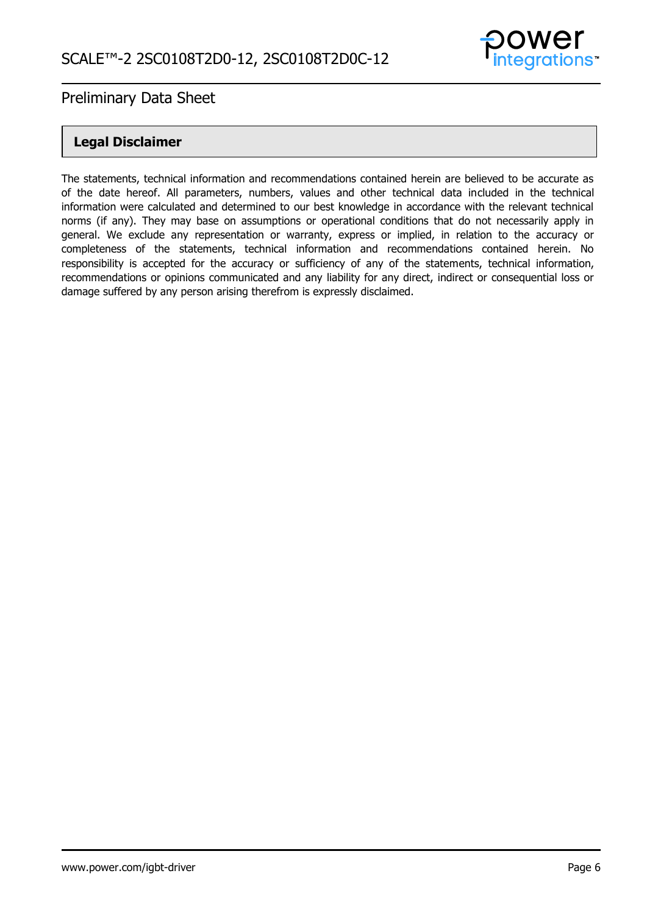

### **Legal Disclaimer**

The statements, technical information and recommendations contained herein are believed to be accurate as of the date hereof. All parameters, numbers, values and other technical data included in the technical information were calculated and determined to our best knowledge in accordance with the relevant technical norms (if any). They may base on assumptions or operational conditions that do not necessarily apply in general. We exclude any representation or warranty, express or implied, in relation to the accuracy or completeness of the statements, technical information and recommendations contained herein. No responsibility is accepted for the accuracy or sufficiency of any of the statements, technical information, recommendations or opinions communicated and any liability for any direct, indirect or consequential loss or damage suffered by any person arising therefrom is expressly disclaimed.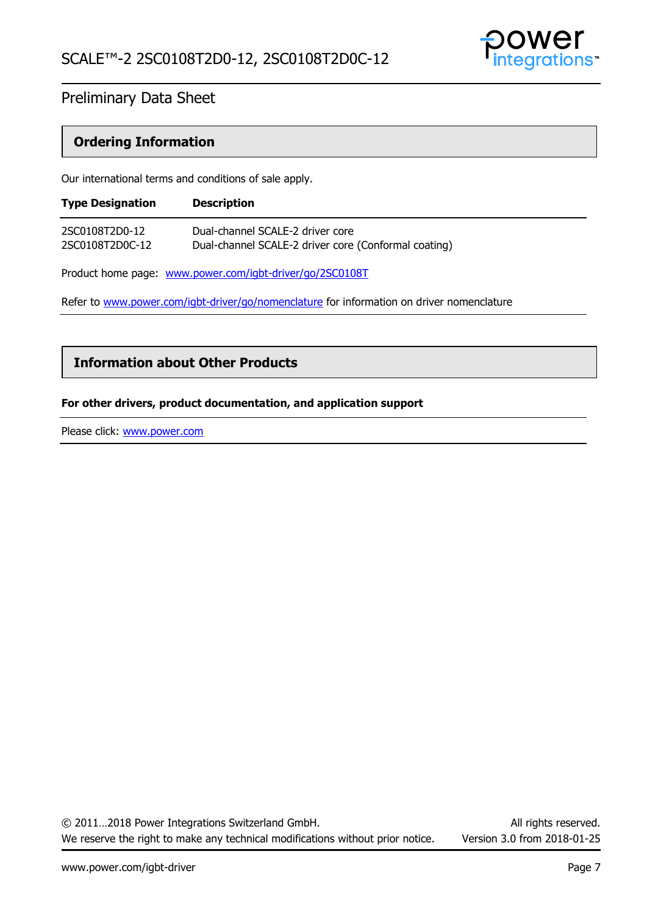

### **Ordering Information**

Our international terms and conditions of sale apply.

| <b>Type Designation</b> | <b>Description</b>                                   |
|-------------------------|------------------------------------------------------|
| 2SC0108T2D0-12          | Dual-channel SCALE-2 driver core                     |
| 2SC0108T2D0C-12         | Dual-channel SCALE-2 driver core (Conformal coating) |

Product home page: [www.power.com/igbt-driver/go/2SC0108T](http://www.power.com/igbt-driver/go/2SC0108T)

Refer to [www.power.com/igbt-driver/go/nomenclature](http://www.power.com/igbt-driver/go/nomenclature) for information on driver nomenclature

### **Information about Other Products**

#### **For other drivers, product documentation, and application support**

Please click: [www.power.com](http://www.power.com/)